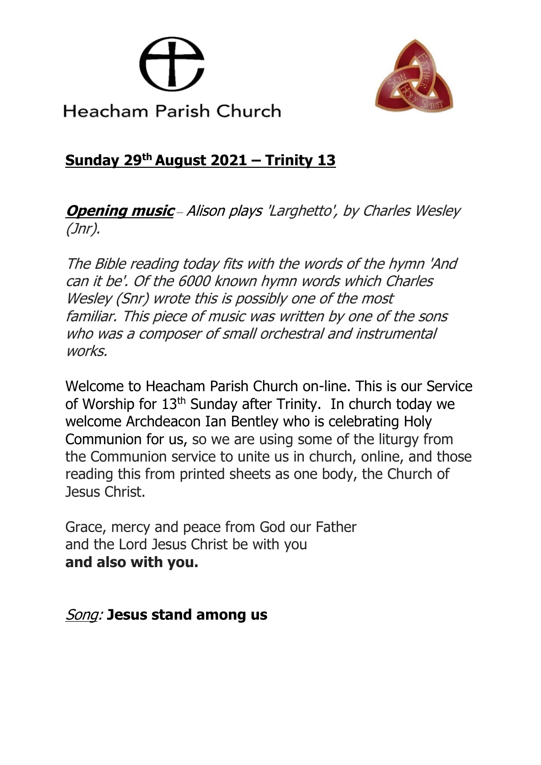



# **Sunday 29 th August 2021 – Trinity 13**

**Opening music** – Alison plays 'Larghetto', by Charles Wesley (Jnr).

The Bible reading today fits with the words of the hymn 'And can it be'. Of the 6000 known hymn words which Charles Wesley (Snr) wrote this is possibly one of the most familiar. This piece of music was written by one of the sons who was a composer of small orchestral and instrumental works.

Welcome to Heacham Parish Church on-line. This is our Service of Worship for 13<sup>th</sup> Sunday after Trinity. In church today we welcome Archdeacon Ian Bentley who is celebrating Holy Communion for us, so we are using some of the liturgy from the Communion service to unite us in church, online, and those reading this from printed sheets as one body, the Church of Jesus Christ.

Grace, mercy and peace from God our Father and the Lord Jesus Christ be with you **and also with you.**

Song: **Jesus stand among us**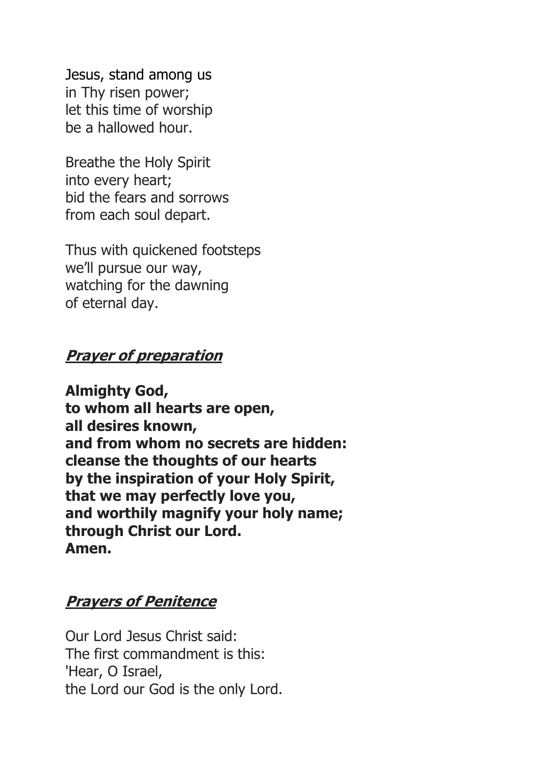Jesus, stand among us in Thy risen power; let this time of worship be a hallowed hour.

Breathe the Holy Spirit into every heart; bid the fears and sorrows from each soul depart.

Thus with quickened footsteps we'll pursue our way, watching for the dawning of eternal day.

#### **Prayer of preparation**

**Almighty God, to whom all hearts are open, all desires known, and from whom no secrets are hidden: cleanse the thoughts of our hearts by the inspiration of your Holy Spirit, that we may perfectly love you, and worthily magnify your holy name; through Christ our Lord. Amen.**

### **Prayers of Penitence**

Our Lord Jesus Christ said: The first commandment is this: 'Hear, O Israel, the Lord our God is the only Lord.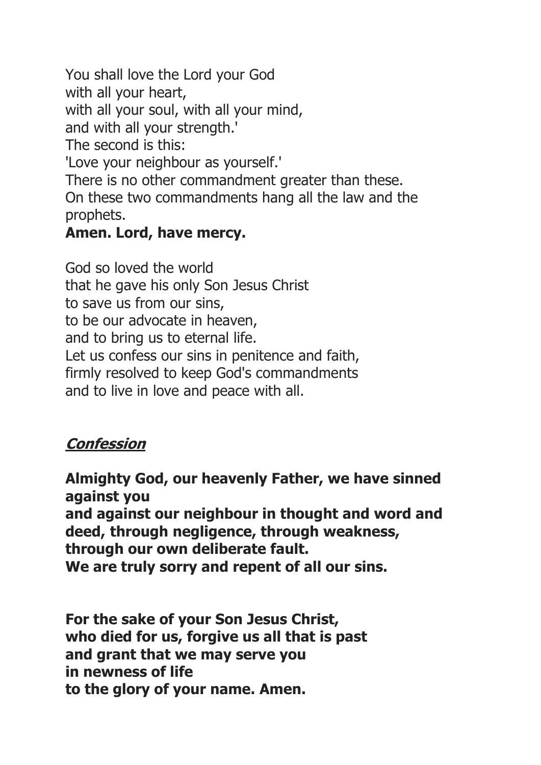You shall love the Lord your God with all your heart, with all your soul, with all your mind, and with all your strength.' The second is this: 'Love your neighbour as yourself.' There is no other commandment greater than these. On these two commandments hang all the law and the prophets.

#### **Amen. Lord, have mercy.**

God so loved the world that he gave his only Son Jesus Christ to save us from our sins, to be our advocate in heaven, and to bring us to eternal life. Let us confess our sins in penitence and faith, firmly resolved to keep God's commandments and to live in love and peace with all.

### **Confession**

**Almighty God, our heavenly Father, we have sinned against you and against our neighbour in thought and word and deed, through negligence, through weakness, through our own deliberate fault. We are truly sorry and repent of all our sins.**

**For the sake of your Son Jesus Christ, who died for us, forgive us all that is past and grant that we may serve you in newness of life to the glory of your name. Amen.**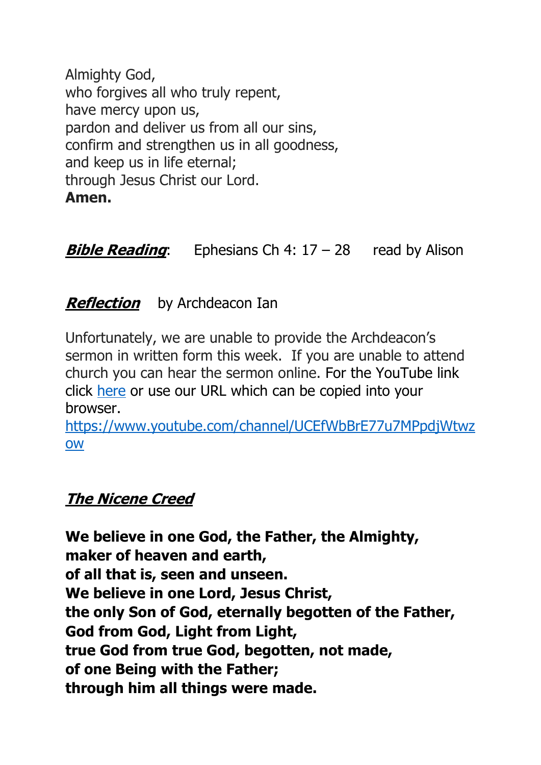Almighty God, who forgives all who truly repent, have mercy upon us, pardon and deliver us from all our sins, confirm and strengthen us in all goodness, and keep us in life eternal; through Jesus Christ our Lord. **Amen.**

**Bible Reading:** Ephesians Ch 4: 17 – 28 read by Alison

**Reflection** by Archdeacon Ian

Unfortunately, we are unable to provide the Archdeacon's sermon in written form this week. If you are unable to attend church you can hear the sermon online. For the YouTube link click [here](https://www.youtube.com/channel/UCEfWbBrE77u7MPpdjWtwzow) or use our URL which can be copied into your browser.

[https://www.youtube.com/channel/UCEfWbBrE77u7MPpdjWtwz](https://www.youtube.com/channel/UCEfWbBrE77u7MPpdjWtwzow) [ow](https://www.youtube.com/channel/UCEfWbBrE77u7MPpdjWtwzow)

#### **The Nicene Creed**

**We believe in one God, the Father, the Almighty, maker of heaven and earth, of all that is, seen and unseen. We believe in one Lord, Jesus Christ, the only Son of God, eternally begotten of the Father, God from God, Light from Light, true God from true God, begotten, not made, of one Being with the Father; through him all things were made.**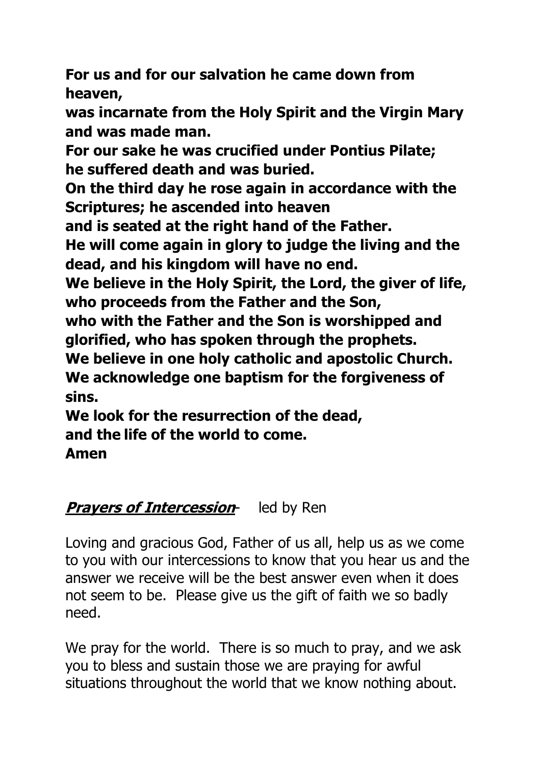**For us and for our salvation he came down from heaven,** 

**was incarnate from the Holy Spirit and the Virgin Mary and was made man.**

**For our sake he was crucified under Pontius Pilate; he suffered death and was buried.** 

**On the third day he rose again in accordance with the Scriptures; he ascended into heaven** 

**and is seated at the right hand of the Father.** 

**He will come again in glory to judge the living and the dead, and his kingdom will have no end.** 

**We believe in the Holy Spirit, the Lord, the giver of life, who proceeds from the Father and the Son,** 

**who with the Father and the Son is worshipped and glorified, who has spoken through the prophets.**

**We believe in one holy catholic and apostolic Church. We acknowledge one baptism for the forgiveness of sins.**

**We look for the resurrection of the dead, and the life of the world to come. Amen** 

# *Prayers of Intercession* led by Ren

Loving and gracious God, Father of us all, help us as we come to you with our intercessions to know that you hear us and the answer we receive will be the best answer even when it does not seem to be. Please give us the gift of faith we so badly need.

We pray for the world. There is so much to pray, and we ask you to bless and sustain those we are praying for awful situations throughout the world that we know nothing about.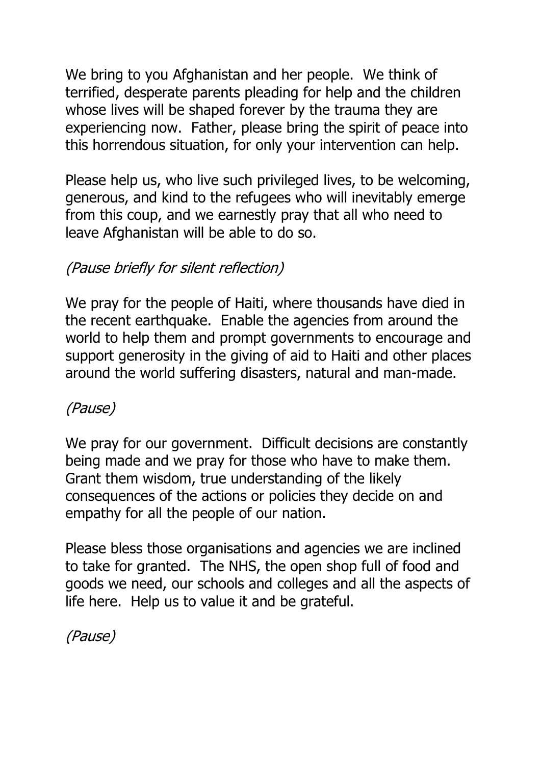We bring to you Afghanistan and her people. We think of terrified, desperate parents pleading for help and the children whose lives will be shaped forever by the trauma they are experiencing now. Father, please bring the spirit of peace into this horrendous situation, for only your intervention can help.

Please help us, who live such privileged lives, to be welcoming, generous, and kind to the refugees who will inevitably emerge from this coup, and we earnestly pray that all who need to leave Afghanistan will be able to do so.

### (Pause briefly for silent reflection)

We pray for the people of Haiti, where thousands have died in the recent earthquake. Enable the agencies from around the world to help them and prompt governments to encourage and support generosity in the giving of aid to Haiti and other places around the world suffering disasters, natural and man-made.

(Pause)

We pray for our government. Difficult decisions are constantly being made and we pray for those who have to make them. Grant them wisdom, true understanding of the likely consequences of the actions or policies they decide on and empathy for all the people of our nation.

Please bless those organisations and agencies we are inclined to take for granted. The NHS, the open shop full of food and goods we need, our schools and colleges and all the aspects of life here. Help us to value it and be grateful.

(Pause)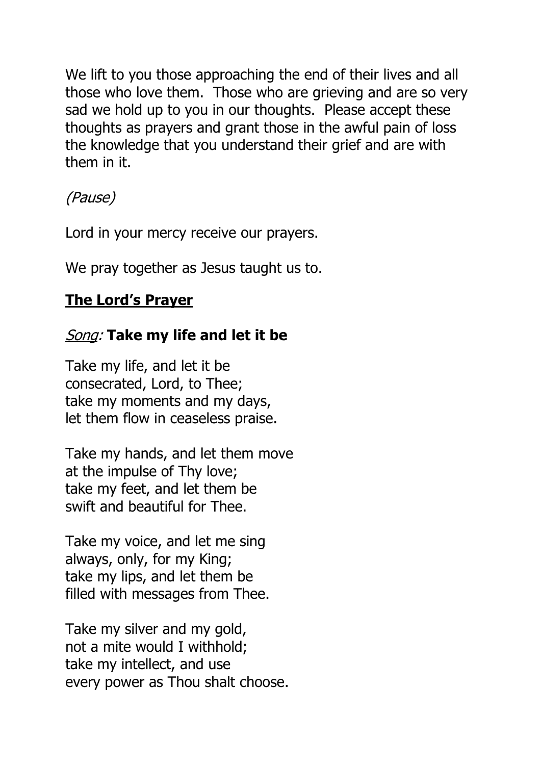We lift to you those approaching the end of their lives and all those who love them. Those who are grieving and are so very sad we hold up to you in our thoughts. Please accept these thoughts as prayers and grant those in the awful pain of loss the knowledge that you understand their grief and are with them in it.

### (Pause)

Lord in your mercy receive our prayers.

We pray together as Jesus taught us to.

# **The Lord's Prayer**

# Song: **Take my life and let it be**

Take my life, and let it be consecrated, Lord, to Thee; take my moments and my days, let them flow in ceaseless praise.

Take my hands, and let them move at the impulse of Thy love; take my feet, and let them be swift and beautiful for Thee.

Take my voice, and let me sing always, only, for my King; take my lips, and let them be filled with messages from Thee.

Take my silver and my gold, not a mite would I withhold; take my intellect, and use every power as Thou shalt choose.